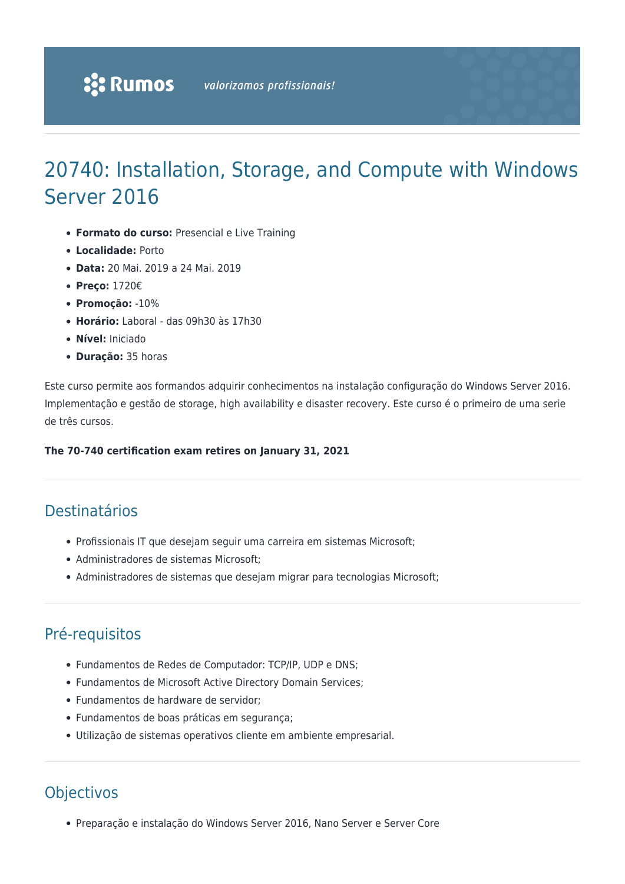# 20740: Installation, Storage, and Compute with Windows Server 2016

- **Formato do curso:** Presencial e Live Training
- **Localidade:** Porto
- **Data:** 20 Mai. 2019 a 24 Mai. 2019
- **Preço:** 1720€
- **Promoção:** -10%
- **Horário:** Laboral das 09h30 às 17h30
- **Nível:** Iniciado
- **Duração:** 35 horas

Este curso permite aos formandos adquirir conhecimentos na instalação configuração do Windows Server 2016. Implementação e gestão de storage, high availability e disaster recovery. Este curso é o primeiro de uma serie de três cursos.

#### **The 70-740 certification exam retires on January 31, 2021**

## Destinatários

- Profissionais IT que desejam seguir uma carreira em sistemas Microsoft;
- Administradores de sistemas Microsoft;
- Administradores de sistemas que desejam migrar para tecnologias Microsoft;

### Pré-requisitos

- Fundamentos de Redes de Computador: TCP/IP, UDP e DNS;
- Fundamentos de Microsoft Active Directory Domain Services;
- Fundamentos de hardware de servidor;
- Fundamentos de boas práticas em segurança;
- Utilização de sistemas operativos cliente em ambiente empresarial.

### **Objectivos**

Preparação e instalação do Windows Server 2016, Nano Server e Server Core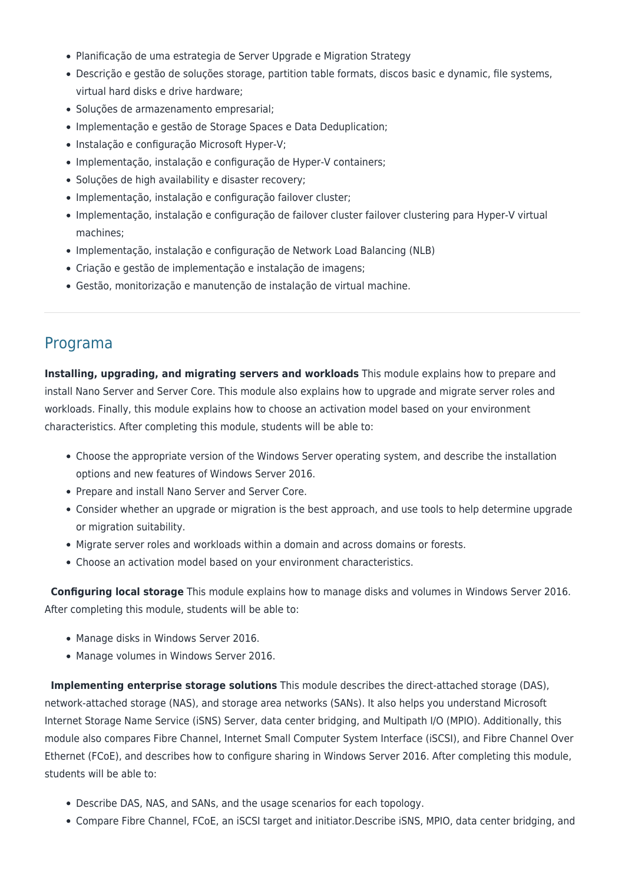- Planificação de uma estrategia de Server Upgrade e Migration Strategy
- Descrição e gestão de soluções storage, partition table formats, discos basic e dynamic, file systems, virtual hard disks e drive hardware;
- Soluções de armazenamento empresarial;
- Implementação e gestão de Storage Spaces e Data Deduplication;
- Instalação e configuração Microsoft Hyper-V;
- Implementação, instalação e configuração de Hyper-V containers;
- Soluções de high availability e disaster recovery:
- Implementação, instalação e configuração failover cluster;
- Implementação, instalação e configuração de failover cluster failover clustering para Hyper-V virtual machines;
- Implementação, instalação e configuração de Network Load Balancing (NLB)
- Criação e gestão de implementação e instalação de imagens;
- Gestão, monitorização e manutenção de instalação de virtual machine.

#### Programa

**Installing, upgrading, and migrating servers and workloads** This module explains how to prepare and install Nano Server and Server Core. This module also explains how to upgrade and migrate server roles and workloads. Finally, this module explains how to choose an activation model based on your environment characteristics. After completing this module, students will be able to:

- Choose the appropriate version of the Windows Server operating system, and describe the installation options and new features of Windows Server 2016.
- Prepare and install Nano Server and Server Core.
- Consider whether an upgrade or migration is the best approach, and use tools to help determine upgrade or migration suitability.
- Migrate server roles and workloads within a domain and across domains or forests.
- Choose an activation model based on your environment characteristics.

**Configuring local storage** This module explains how to manage disks and volumes in Windows Server 2016. After completing this module, students will be able to:

- Manage disks in Windows Server 2016.
- Manage volumes in Windows Server 2016.

**Implementing enterprise storage solutions** This module describes the direct-attached storage (DAS), network-attached storage (NAS), and storage area networks (SANs). It also helps you understand Microsoft Internet Storage Name Service (iSNS) Server, data center bridging, and Multipath I/O (MPIO). Additionally, this module also compares Fibre Channel, Internet Small Computer System Interface (iSCSI), and Fibre Channel Over Ethernet (FCoE), and describes how to configure sharing in Windows Server 2016. After completing this module, students will be able to:

- Describe DAS, NAS, and SANs, and the usage scenarios for each topology.
- Compare Fibre Channel, FCoE, an iSCSI target and initiator.Describe iSNS, MPIO, data center bridging, and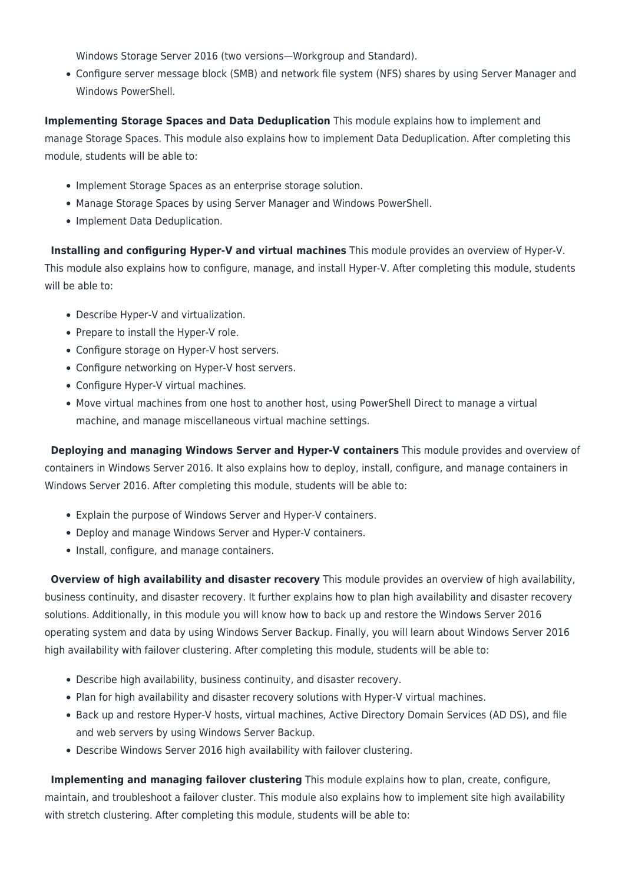Windows Storage Server 2016 (two versions—Workgroup and Standard).

Configure server message block (SMB) and network file system (NFS) shares by using Server Manager and Windows PowerShell.

**Implementing Storage Spaces and Data Deduplication** This module explains how to implement and manage Storage Spaces. This module also explains how to implement Data Deduplication. After completing this module, students will be able to:

- Implement Storage Spaces as an enterprise storage solution.
- Manage Storage Spaces by using Server Manager and Windows PowerShell.
- Implement Data Deduplication.

**Installing and configuring Hyper-V and virtual machines** This module provides an overview of Hyper-V. This module also explains how to configure, manage, and install Hyper-V. After completing this module, students will be able to:

- Describe Hyper-V and virtualization.
- Prepare to install the Hyper-V role.
- Configure storage on Hyper-V host servers.
- Configure networking on Hyper-V host servers.
- Configure Hyper-V virtual machines.
- Move virtual machines from one host to another host, using PowerShell Direct to manage a virtual machine, and manage miscellaneous virtual machine settings.

**Deploying and managing Windows Server and Hyper-V containers** This module provides and overview of containers in Windows Server 2016. It also explains how to deploy, install, configure, and manage containers in Windows Server 2016. After completing this module, students will be able to:

- Explain the purpose of Windows Server and Hyper-V containers.
- Deploy and manage Windows Server and Hyper-V containers.
- Install, configure, and manage containers.

**Overview of high availability and disaster recovery** This module provides an overview of high availability, business continuity, and disaster recovery. It further explains how to plan high availability and disaster recovery solutions. Additionally, in this module you will know how to back up and restore the Windows Server 2016 operating system and data by using Windows Server Backup. Finally, you will learn about Windows Server 2016 high availability with failover clustering. After completing this module, students will be able to:

- Describe high availability, business continuity, and disaster recovery.
- Plan for high availability and disaster recovery solutions with Hyper-V virtual machines.
- Back up and restore Hyper-V hosts, virtual machines, Active Directory Domain Services (AD DS), and file and web servers by using Windows Server Backup.
- Describe Windows Server 2016 high availability with failover clustering.

**Implementing and managing failover clustering** This module explains how to plan, create, configure, maintain, and troubleshoot a failover cluster. This module also explains how to implement site high availability with stretch clustering. After completing this module, students will be able to: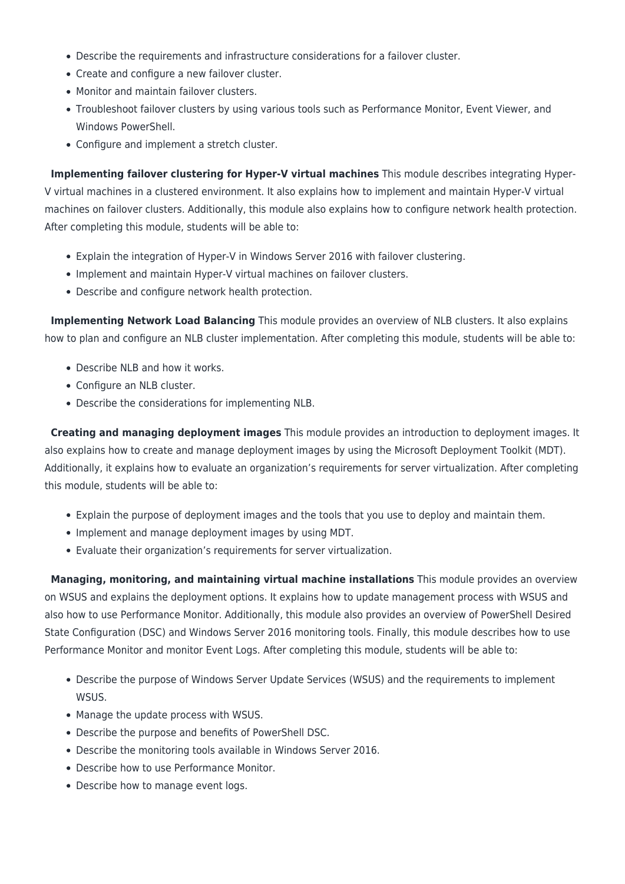- Describe the requirements and infrastructure considerations for a failover cluster.
- Create and configure a new failover cluster.
- Monitor and maintain failover clusters.
- Troubleshoot failover clusters by using various tools such as Performance Monitor, Event Viewer, and Windows PowerShell.
- Configure and implement a stretch cluster.

**Implementing failover clustering for Hyper-V virtual machines** This module describes integrating Hyper-V virtual machines in a clustered environment. It also explains how to implement and maintain Hyper-V virtual machines on failover clusters. Additionally, this module also explains how to configure network health protection. After completing this module, students will be able to:

- Explain the integration of Hyper-V in Windows Server 2016 with failover clustering.
- Implement and maintain Hyper-V virtual machines on failover clusters.
- Describe and configure network health protection.

**Implementing Network Load Balancing** This module provides an overview of NLB clusters. It also explains how to plan and configure an NLB cluster implementation. After completing this module, students will be able to:

- Describe NLB and how it works.
- Configure an NLB cluster.
- Describe the considerations for implementing NLB.

**Creating and managing deployment images** This module provides an introduction to deployment images. It also explains how to create and manage deployment images by using the Microsoft Deployment Toolkit (MDT). Additionally, it explains how to evaluate an organization's requirements for server virtualization. After completing this module, students will be able to:

- Explain the purpose of deployment images and the tools that you use to deploy and maintain them.
- Implement and manage deployment images by using MDT.
- Evaluate their organization's requirements for server virtualization.

**Managing, monitoring, and maintaining virtual machine installations** This module provides an overview on WSUS and explains the deployment options. It explains how to update management process with WSUS and also how to use Performance Monitor. Additionally, this module also provides an overview of PowerShell Desired State Configuration (DSC) and Windows Server 2016 monitoring tools. Finally, this module describes how to use Performance Monitor and monitor Event Logs. After completing this module, students will be able to:

- Describe the purpose of Windows Server Update Services (WSUS) and the requirements to implement WSUS.
- Manage the update process with WSUS.
- Describe the purpose and benefits of PowerShell DSC.
- Describe the monitoring tools available in Windows Server 2016.
- Describe how to use Performance Monitor.
- Describe how to manage event logs.